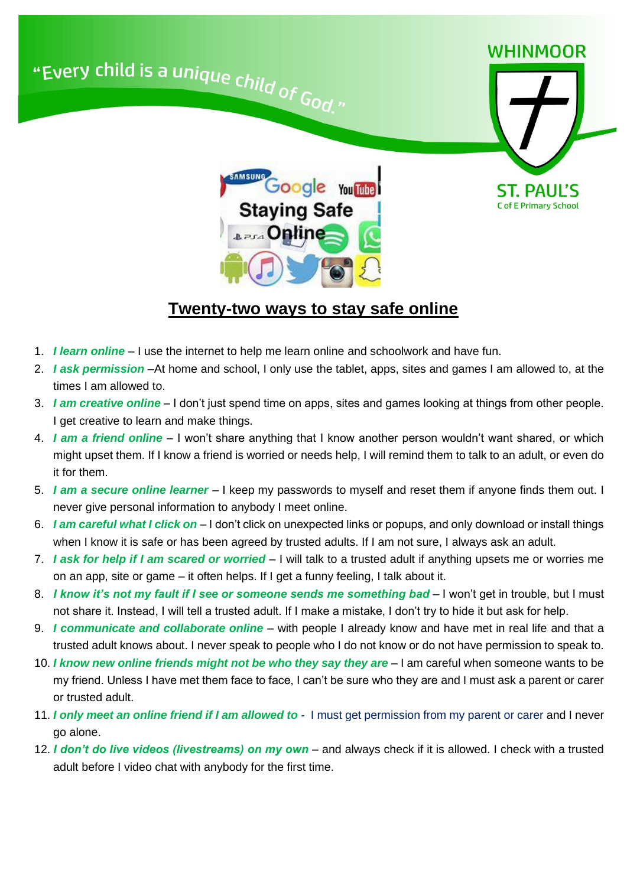

## **Twenty-two ways to stay safe online**

- 1. *I learn online*  I use the internet to help me learn online and schoolwork and have fun.
- 2. *I ask permission* –At home and school, I only use the tablet, apps, sites and games I am allowed to, at the times I am allowed to.
- 3. *I am creative online* I don't just spend time on apps, sites and games looking at things from other people. I get creative to learn and make things.
- 4. *I am a friend online*  I won't share anything that I know another person wouldn't want shared, or which might upset them. If I know a friend is worried or needs help, I will remind them to talk to an adult, or even do it for them.
- 5. *I am a secure online learner* I keep my passwords to myself and reset them if anyone finds them out. I never give personal information to anybody I meet online.
- 6. *I am careful what I click on*  I don't click on unexpected links or popups, and only download or install things when I know it is safe or has been agreed by trusted adults. If I am not sure, I always ask an adult.
- 7. *I ask for help if I am scared or worried*  I will talk to a trusted adult if anything upsets me or worries me on an app, site or game – it often helps. If I get a funny feeling, I talk about it.
- 8. *I know it's not my fault if I see or someone sends me something bad* I won't get in trouble, but I must not share it. Instead, I will tell a trusted adult. If I make a mistake, I don't try to hide it but ask for help.
- 9. *I communicate and collaborate online* with people I already know and have met in real life and that a trusted adult knows about. I never speak to people who I do not know or do not have permission to speak to.
- 10. *I know new online friends might not be who they say they are*  I am careful when someone wants to be my friend. Unless I have met them face to face, I can't be sure who they are and I must ask a parent or carer or trusted adult.
- 11. *I only meet an online friend if I am allowed to -* I must get permission from my parent or carer and I never go alone.
- 12. *I don't do live videos (livestreams) on my own*  and always check if it is allowed. I check with a trusted adult before I video chat with anybody for the first time.